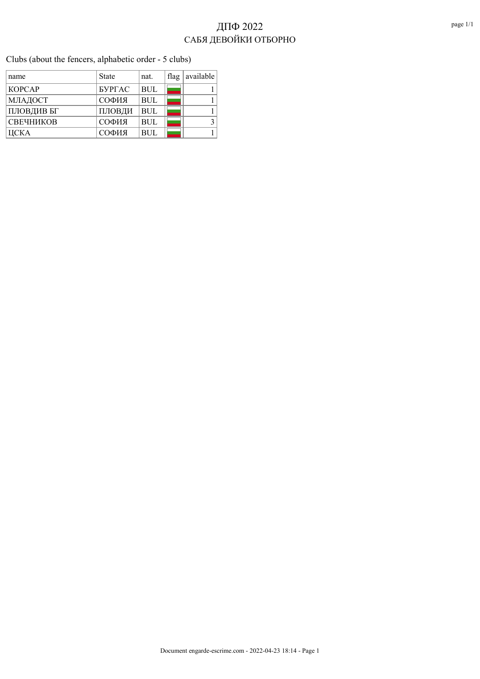Clubs (about the fencers, alphabetic order - 5 clubs)

| name          | <b>State</b>  | nat.       | flag | available |
|---------------|---------------|------------|------|-----------|
| <b>KOPCAP</b> | <b>SYPTAC</b> | <b>BUL</b> |      |           |
| МЛАДОСТ       | СОФИЯ         | <b>BUL</b> |      |           |
| ПЛОВДИВ БГ    | ПЛОВДИ        | <b>BUL</b> |      |           |
| СВЕЧНИКОВ     | СОФИЯ         | <b>BUL</b> |      |           |
| ЦСКА          | СОФИЯ         | <b>BUL</b> |      |           |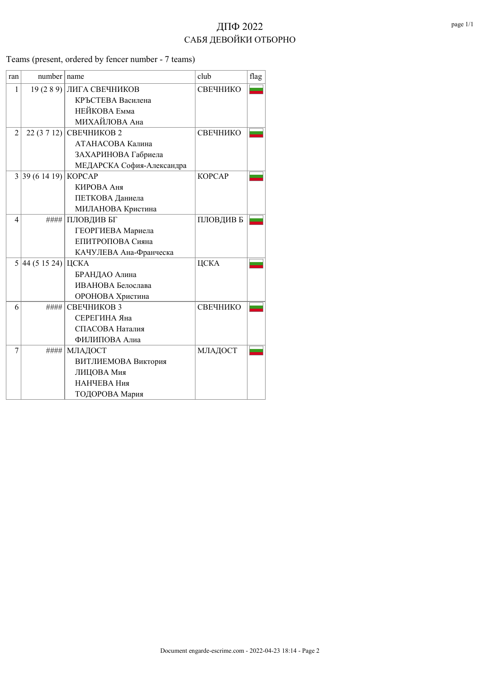Teams (present, ordered by fencer number - 7 teams)

| ran                      | number name   |                           | club          | flag |
|--------------------------|---------------|---------------------------|---------------|------|
| $\mathbf{1}$             | 19(289)       | ЛИГА СВЕЧНИКОВ            | СВЕЧНИКО      |      |
|                          |               | КРЪСТЕВА Василена         |               |      |
|                          |               | НЕЙКОВА Емма              |               |      |
|                          |               | МИХАЙЛОВА Ана             |               |      |
| $\overline{2}$           | 22(3712)      | СВЕЧНИКОВ 2               | СВЕЧНИКО      |      |
|                          |               | АТАНАСОВА Калина          |               |      |
|                          |               | ЗАХАРИНОВА Габриела       |               |      |
|                          |               | МЕДАРСКА София-Александра |               |      |
|                          | 3 39(6 14 19) | <b>KOPCAP</b>             | <b>KOPCAP</b> |      |
|                          |               | КИРОВА Аня                |               |      |
|                          |               | ПЕТКОВА Даниела           |               |      |
|                          |               | МИЛАНОВА Кристина         |               |      |
| $\overline{\mathcal{L}}$ | ####          | ПЛОВДИВ БГ                | ПЛОВДИВ Б     |      |
|                          |               | ГЕОРГИЕВА Мариела         |               |      |
|                          |               | ЕПИТРОПОВА Сияна          |               |      |
|                          |               | КАЧУЛЕВА Ана-Франческа    |               |      |
|                          | 5 44(51524)   | ЦСКА                      | ЦСКА          |      |
|                          |               | БРАНДАО Алина             |               |      |
|                          |               | ИВАНОВА Белослава         |               |      |
|                          |               | ОРОНОВА Христина          |               |      |
| 6                        | ####          | СВЕЧНИКОВ 3               | СВЕЧНИКО      |      |
|                          |               | СЕРЕГИНА Яна              |               |      |
|                          |               | СПАСОВА Наталия           |               |      |
|                          |               | ФИЛИПОВА Алиа             |               |      |
| 7                        | ####          | МЛАДОСТ                   | МЛАДОСТ       |      |
|                          |               | ВИТЛИЕМОВА Виктория       |               |      |
|                          |               | ЛИЦОВА Мия                |               |      |
|                          |               | НАНЧЕВА Ния               |               |      |
|                          |               | ТОДОРОВА Мария            |               |      |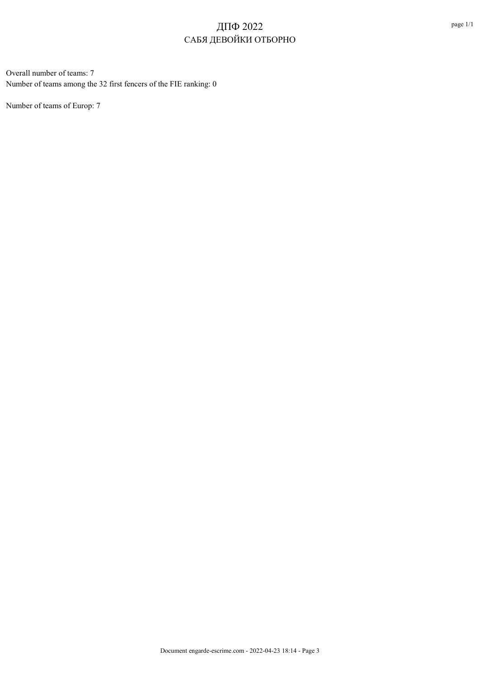Overall number of teams: 7 Number of teams among the 32 first fencers of the FIE ranking: 0

Number of teams of Europ: 7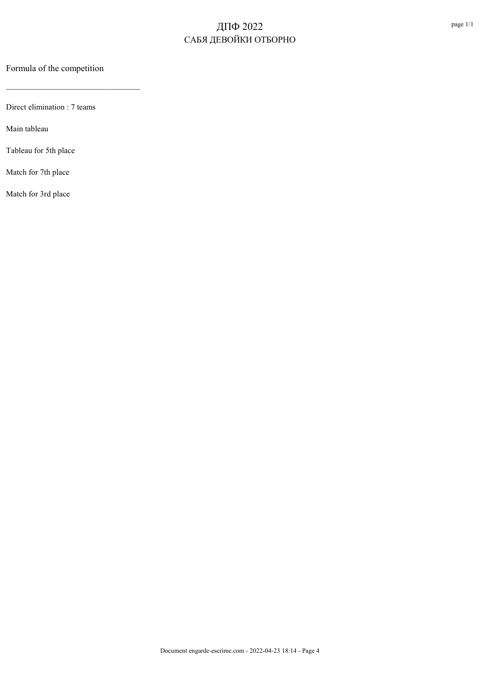Formula of the competition

 $\mathcal{L}_\text{max}$  and  $\mathcal{L}_\text{max}$  and  $\mathcal{L}_\text{max}$  and  $\mathcal{L}_\text{max}$ 

Direct elimination : 7 teams

Main tableau

Tableau for 5th place

Match for 7th place

Match for 3rd place